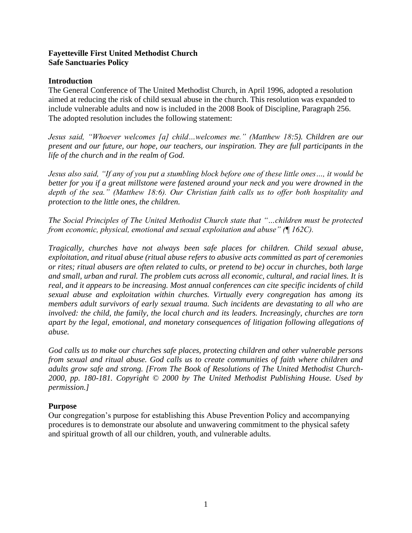### **Fayetteville First United Methodist Church Safe Sanctuaries Policy**

#### **Introduction**

The General Conference of The United Methodist Church, in April 1996, adopted a resolution aimed at reducing the risk of child sexual abuse in the church. This resolution was expanded to include vulnerable adults and now is included in the 2008 Book of Discipline, Paragraph 256. The adopted resolution includes the following statement:

*Jesus said, "Whoever welcomes [a] child…welcomes me." (Matthew 18:5). Children are our present and our future, our hope, our teachers, our inspiration. They are full participants in the life of the church and in the realm of God.*

*Jesus also said, "If any of you put a stumbling block before one of these little ones…, it would be better for you if a great millstone were fastened around your neck and you were drowned in the depth of the sea." (Matthew 18:6). Our Christian faith calls us to offer both hospitality and protection to the little ones, the children.*

*The Social Principles of The United Methodist Church state that "…children must be protected from economic, physical, emotional and sexual exploitation and abuse" (¶ 162C).*

*Tragically, churches have not always been safe places for children. Child sexual abuse, exploitation, and ritual abuse (ritual abuse refers to abusive acts committed as part of ceremonies or rites; ritual abusers are often related to cults, or pretend to be) occur in churches, both large and small, urban and rural. The problem cuts across all economic, cultural, and racial lines. It is real, and it appears to be increasing. Most annual conferences can cite specific incidents of child sexual abuse and exploitation within churches. Virtually every congregation has among its members adult survivors of early sexual trauma. Such incidents are devastating to all who are involved: the child, the family, the local church and its leaders. Increasingly, churches are torn apart by the legal, emotional, and monetary consequences of litigation following allegations of abuse.*

*God calls us to make our churches safe places, protecting children and other vulnerable persons from sexual and ritual abuse. God calls us to create communities of faith where children and adults grow safe and strong. [From The Book of Resolutions of The United Methodist Church-2000, pp. 180-181. Copyright © 2000 by The United Methodist Publishing House. Used by permission.]*

#### **Purpose**

Our congregation's purpose for establishing this Abuse Prevention Policy and accompanying procedures is to demonstrate our absolute and unwavering commitment to the physical safety and spiritual growth of all our children, youth, and vulnerable adults.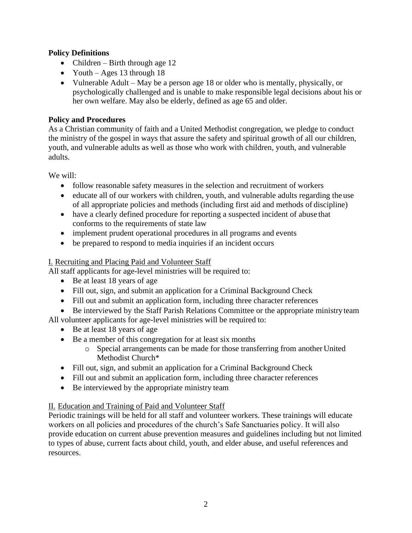## **Policy Definitions**

- Children Birth through age  $12$
- Youth Ages 13 through 18
- Vulnerable Adult May be a person age 18 or older who is mentally, physically, or psychologically challenged and is unable to make responsible legal decisions about his or her own welfare. May also be elderly, defined as age 65 and older.

# **Policy and Procedures**

As a Christian community of faith and a United Methodist congregation, we pledge to conduct the ministry of the gospel in ways that assure the safety and spiritual growth of all our children, youth, and vulnerable adults as well as those who work with children, youth, and vulnerable adults.

We will:

- follow reasonable safety measures in the selection and recruitment of workers
- educate all of our workers with children, youth, and vulnerable adults regarding the use of all appropriate policies and methods (including first aid and methods of discipline)
- have a clearly defined procedure for reporting a suspected incident of abuse that conforms to the requirements of state law
- implement prudent operational procedures in all programs and events
- be prepared to respond to media inquiries if an incident occurs

## I. Recruiting and Placing Paid and Volunteer Staff

All staff applicants for age-level ministries will be required to:

- Be at least 18 years of age
- Fill out, sign, and submit an application for a Criminal Background Check
- Fill out and submit an application form, including three character references
- Be interviewed by the Staff Parish Relations Committee or the appropriate ministry team
- All volunteer applicants for age-level ministries will be required to:
	- Be at least 18 years of age
	- Be a member of this congregation for at least six months
		- o Special arrangements can be made for those transferring from another United Methodist Church\*
	- Fill out, sign, and submit an application for a Criminal Background Check
	- Fill out and submit an application form, including three character references
	- Be interviewed by the appropriate ministry team

# II. Education and Training of Paid and Volunteer Staff

Periodic trainings will be held for all staff and volunteer workers. These trainings will educate workers on all policies and procedures of the church's Safe Sanctuaries policy. It will also provide education on current abuse prevention measures and guidelines including but not limited to types of abuse, current facts about child, youth, and elder abuse, and useful references and resources.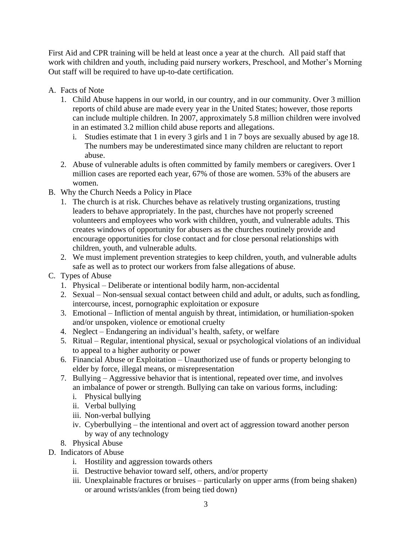First Aid and CPR training will be held at least once a year at the church. All paid staff that work with children and youth, including paid nursery workers, Preschool, and Mother's Morning Out staff will be required to have up-to-date certification.

- A. Facts of Note
	- 1. Child Abuse happens in our world, in our country, and in our community. Over 3 million reports of child abuse are made every year in the United States; however, those reports can include multiple children. In 2007, approximately 5.8 million children were involved in an estimated 3.2 million child abuse reports and allegations.
		- i. Studies estimate that 1 in every 3 girls and 1 in 7 boys are sexually abused by age 18. The numbers may be underestimated since many children are reluctant to report abuse.
	- 2. Abuse of vulnerable adults is often committed by family members or caregivers. Over 1 million cases are reported each year, 67% of those are women. 53% of the abusers are women.
- B. Why the Church Needs a Policy in Place
	- 1. The church is at risk. Churches behave as relatively trusting organizations, trusting leaders to behave appropriately. In the past, churches have not properly screened volunteers and employees who work with children, youth, and vulnerable adults. This creates windows of opportunity for abusers as the churches routinely provide and encourage opportunities for close contact and for close personal relationships with children, youth, and vulnerable adults.
	- 2. We must implement prevention strategies to keep children, youth, and vulnerable adults safe as well as to protect our workers from false allegations of abuse.
- C. Types of Abuse
	- 1. Physical Deliberate or intentional bodily harm, non-accidental
	- 2. Sexual Non-sensual sexual contact between child and adult, or adults, such asfondling, intercourse, incest, pornographic exploitation or exposure
	- 3. Emotional Infliction of mental anguish by threat, intimidation, or humiliation-spoken and/or unspoken, violence or emotional cruelty
	- 4. Neglect Endangering an individual's health, safety, or welfare
	- 5. Ritual Regular, intentional physical, sexual or psychological violations of an individual to appeal to a higher authority or power
	- 6. Financial Abuse or Exploitation Unauthorized use of funds or property belonging to elder by force, illegal means, or misrepresentation
	- 7. Bullying Aggressive behavior that is intentional, repeated over time, and involves an imbalance of power or strength. Bullying can take on various forms, including:
		- i. Physical bullying
		- ii. Verbal bullying
		- iii. Non-verbal bullying
		- iv. Cyberbullying the intentional and overt act of aggression toward another person by way of any technology
	- 8. Physical Abuse
- D. Indicators of Abuse
	- i. Hostility and aggression towards others
	- ii. Destructive behavior toward self, others, and/or property
	- iii. Unexplainable fractures or bruises particularly on upper arms (from being shaken) or around wrists/ankles (from being tied down)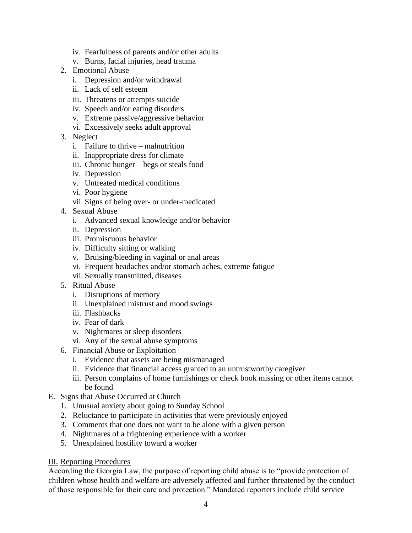- iv. Fearfulness of parents and/or other adults
- v. Burns, facial injuries, head trauma
- 2. Emotional Abuse
	- i. Depression and/or withdrawal
	- ii. Lack of self esteem
	- iii. Threatens or attempts suicide
	- iv. Speech and/or eating disorders
	- v. Extreme passive/aggressive behavior
	- vi. Excessively seeks adult approval
- 3. Neglect
	- i. Failure to thrive malnutrition
	- ii. Inappropriate dress for climate
	- iii. Chronic hunger begs or steals food
	- iv. Depression
	- v. Untreated medical conditions
	- vi. Poor hygiene
	- vii. Signs of being over- or under-medicated
- 4. Sexual Abuse
	- i. Advanced sexual knowledge and/or behavior
	- ii. Depression
	- iii. Promiscuous behavior
	- iv. Difficulty sitting or walking
	- v. Bruising/bleeding in vaginal or anal areas
	- vi. Frequent headaches and/or stomach aches, extreme fatigue
	- vii. Sexually transmitted, diseases
- 5. Ritual Abuse
	- i. Disruptions of memory
	- ii. Unexplained mistrust and mood swings
	- iii. Flashbacks
	- iv. Fear of dark
	- v. Nightmares or sleep disorders
	- vi. Any of the sexual abuse symptoms
- 6. Financial Abuse or Exploitation
	- i. Evidence that assets are being mismanaged
	- ii. Evidence that financial access granted to an untrustworthy caregiver
	- iii. Person complains of home furnishings or check book missing or other items cannot be found
- E. Signs that Abuse Occurred at Church
	- 1. Unusual anxiety about going to Sunday School
	- 2. Reluctance to participate in activities that were previously enjoyed
	- 3. Comments that one does not want to be alone with a given person
	- 4. Nightmares of a frightening experience with a worker
	- 5. Unexplained hostility toward a worker

### III. Reporting Procedures

According the Georgia Law, the purpose of reporting child abuse is to "provide protection of children whose health and welfare are adversely affected and further threatened by the conduct of those responsible for their care and protection." Mandated reporters include child service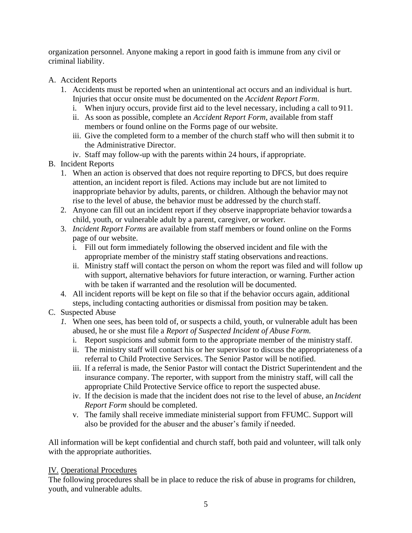organization personnel. Anyone making a report in good faith is immune from any civil or criminal liability.

- A. Accident Reports
	- 1. Accidents must be reported when an unintentional act occurs and an individual is hurt. Injuries that occur onsite must be documented on the *Accident Report Form*.
		- i. When injury occurs, provide first aid to the level necessary, including a call to 911.
		- ii. As soon as possible, complete an *Accident Report Form*, available from staff members or found online on the Forms page of our website.
		- iii. Give the completed form to a member of the church staff who will then submit it to the Administrative Director.
		- iv. Staff may follow-up with the parents within 24 hours, if appropriate.
- B. Incident Reports
	- 1. When an action is observed that does not require reporting to DFCS, but does require attention, an incident report is filed. Actions may include but are not limited to inappropriate behavior by adults, parents, or children. Although the behavior may not rise to the level of abuse, the behavior must be addressed by the church staff.
	- 2. Anyone can fill out an incident report if they observe inappropriate behavior towards a child, youth, or vulnerable adult by a parent, caregiver, or worker.
	- 3. *Incident Report Forms* are available from staff members or found online on the Forms page of our website.
		- i. Fill out form immediately following the observed incident and file with the appropriate member of the ministry staff stating observations and reactions.
		- ii. Ministry staff will contact the person on whom the report was filed and will follow up with support, alternative behaviors for future interaction, or warning. Further action with be taken if warranted and the resolution will be documented.
	- 4. All incident reports will be kept on file so that if the behavior occurs again, additional steps, including contacting authorities or dismissal from position may be taken.
- C. Suspected Abuse
	- *1.* When one sees, has been told of, or suspects a child, youth, or vulnerable adult has been abused, he or she must file a *Report of Suspected Incident of Abuse Form.*
		- i. Report suspicions and submit form to the appropriate member of the ministry staff.
		- ii. The ministry staff will contact his or her supervisor to discuss the appropriateness of a referral to Child Protective Services. The Senior Pastor will be notified.
		- iii. If a referral is made, the Senior Pastor will contact the District Superintendent and the insurance company. The reporter, with support from the ministry staff, will call the appropriate Child Protective Service office to report the suspected abuse.
		- iv. If the decision is made that the incident does not rise to the level of abuse, an *Incident Report Form* should be completed.
		- v. The family shall receive immediate ministerial support from FFUMC. Support will also be provided for the abuser and the abuser's family if needed.

All information will be kept confidential and church staff, both paid and volunteer, will talk only with the appropriate authorities.

# IV. Operational Procedures

The following procedures shall be in place to reduce the risk of abuse in programs for children, youth, and vulnerable adults.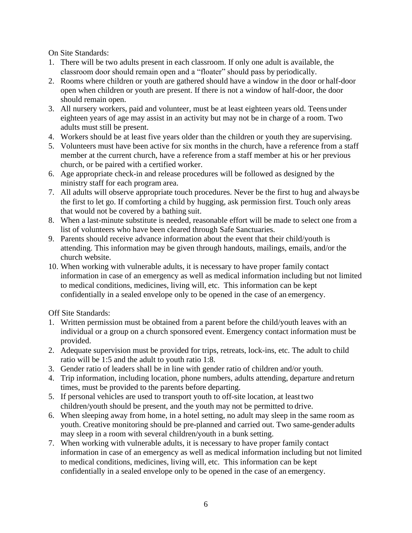On Site Standards:

- 1. There will be two adults present in each classroom. If only one adult is available, the classroom door should remain open and a "floater" should pass by periodically.
- 2. Rooms where children or youth are gathered should have a window in the door or half-door open when children or youth are present. If there is not a window of half-door, the door should remain open.
- 3. All nursery workers, paid and volunteer, must be at least eighteen years old. Teens under eighteen years of age may assist in an activity but may not be in charge of a room. Two adults must still be present.
- 4. Workers should be at least five years older than the children or youth they are supervising.
- 5. Volunteers must have been active for six months in the church, have a reference from a staff member at the current church, have a reference from a staff member at his or her previous church, or be paired with a certified worker.
- 6. Age appropriate check-in and release procedures will be followed as designed by the ministry staff for each program area.
- 7. All adults will observe appropriate touch procedures. Never be the first to hug and always be the first to let go. If comforting a child by hugging, ask permission first. Touch only areas that would not be covered by a bathing suit.
- 8. When a last-minute substitute is needed, reasonable effort will be made to select one from a list of volunteers who have been cleared through Safe Sanctuaries.
- 9. Parents should receive advance information about the event that their child/youth is attending. This information may be given through handouts, mailings, emails, and/or the church website.
- 10. When working with vulnerable adults, it is necessary to have proper family contact information in case of an emergency as well as medical information including but not limited to medical conditions, medicines, living will, etc. This information can be kept confidentially in a sealed envelope only to be opened in the case of an emergency.

Off Site Standards:

- 1. Written permission must be obtained from a parent before the child/youth leaves with an individual or a group on a church sponsored event. Emergency contact information must be provided.
- 2. Adequate supervision must be provided for trips, retreats, lock-ins, etc. The adult to child ratio will be 1:5 and the adult to youth ratio 1:8.
- 3. Gender ratio of leaders shall be in line with gender ratio of children and/or youth.
- 4. Trip information, including location, phone numbers, adults attending, departure andreturn times, must be provided to the parents before departing.
- 5. If personal vehicles are used to transport youth to off-site location, at least two children/youth should be present, and the youth may not be permitted to drive.
- 6. When sleeping away from home, in a hotel setting, no adult may sleep in the same room as youth. Creative monitoring should be pre-planned and carried out. Two same-gender adults may sleep in a room with several children/youth in a bunk setting.
- 7. When working with vulnerable adults, it is necessary to have proper family contact information in case of an emergency as well as medical information including but not limited to medical conditions, medicines, living will, etc. This information can be kept confidentially in a sealed envelope only to be opened in the case of an emergency.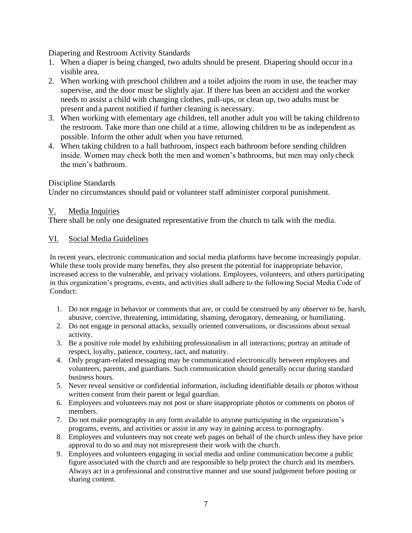Diapering and Restroom Activity Standards

- 1. When a diaper is being changed, two adults should be present. Diapering should occur in a visible area.
- 2. When working with preschool children and a toilet adjoins the room in use, the teacher may supervise, and the door must be slightly ajar. If there has been an accident and the worker needs to assist a child with changing clothes, pull-ups, or clean up, two adults must be present anda parent notified if further cleaning is necessary.
- 3. When working with elementary age children, tell another adult you will be taking children to the restroom. Take more than one child at a time, allowing children to be as independent as possible. Inform the other adult when you have returned.
- 4. When taking children to a hall bathroom, inspect each bathroom before sending children inside. Women may check both the men and women's bathrooms, but men may only check the men's bathroom.

Discipline Standards

Under no circumstances should paid or volunteer staff administer corporal punishment.

## V. Media Inquiries

There shall be only one designated representative from the church to talk with the media.

### VI. Social Media Guidelines

In recent years, electronic communication and social media platforms have become increasingly popular. While these tools provide many benefits, they also present the potential for inappropriate behavior, increased access to the vulnerable, and privacy violations. Employees, volunteers, and others participating in this organization's programs, events, and activities shall adhere to the following Social Media Code of Conduct:

- 1. Do not engage in behavior or comments that are, or could be construed by any observer to be, harsh, abusive, coercive, threatening, intimidating, shaming, derogatory, demeaning, or humiliating.
- 2. Do not engage in personal attacks, sexually oriented conversations, or discussions about sexual activity.
- 3. Be a positive role model by exhibiting professionalism in all interactions; portray an attitude of respect, loyalty, patience, courtesy, tact, and maturity.
- 4. Only program-related messaging may be communicated electronically between employees and volunteers, parents, and guardians. Such communication should generally occur during standard business hours.
- 5. Never reveal sensitive or confidential information, including identifiable details or photos without written consent from their parent or legal guardian.
- 6. Employees and volunteers may not post or share inappropriate photos or comments on photos of members.
- 7. Do not make pornography in any form available to anyone participating in the organization's programs, events, and activities or assist in any way in gaining access to pornography.
- 8. Employees and volunteers may not create web pages on behalf of the church unless they have prior approval to do so and may not misrepresent their work with the church.
- 9. Employees and volunteers engaging in social media and online communication become a public figure associated with the church and are responsible to help protect the church and its members. Always act in a professional and constructive manner and use sound judgement before posting or sharing content.